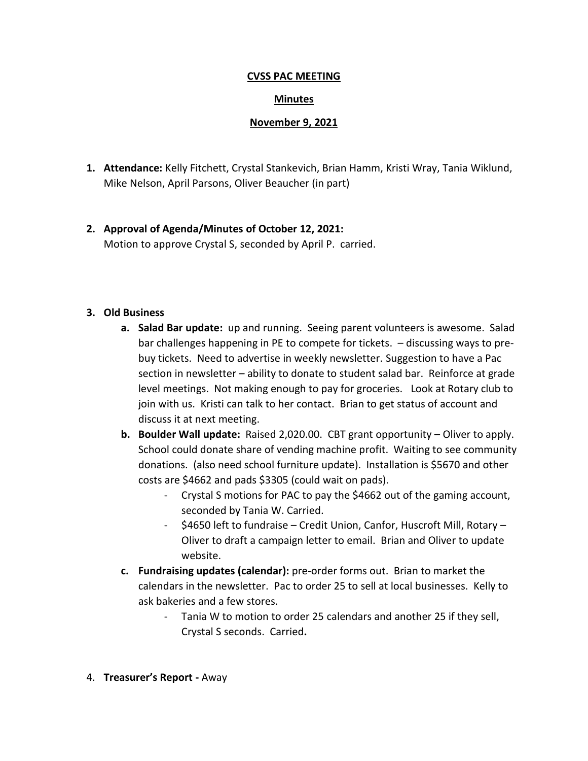#### **CVSS PAC MEETING**

### **Minutes**

### **November 9, 2021**

- **1. Attendance:** Kelly Fitchett, Crystal Stankevich, Brian Hamm, Kristi Wray, Tania Wiklund, Mike Nelson, April Parsons, Oliver Beaucher (in part)
- **2. Approval of Agenda/Minutes of October 12, 2021:** Motion to approve Crystal S, seconded by April P. carried.

#### **3. Old Business**

- **a. Salad Bar update:** up and running. Seeing parent volunteers is awesome. Salad bar challenges happening in PE to compete for tickets. – discussing ways to prebuy tickets. Need to advertise in weekly newsletter. Suggestion to have a Pac section in newsletter – ability to donate to student salad bar. Reinforce at grade level meetings. Not making enough to pay for groceries. Look at Rotary club to join with us. Kristi can talk to her contact. Brian to get status of account and discuss it at next meeting.
- **b. Boulder Wall update:** Raised 2,020.00. CBT grant opportunity Oliver to apply. School could donate share of vending machine profit. Waiting to see community donations. (also need school furniture update). Installation is \$5670 and other costs are \$4662 and pads \$3305 (could wait on pads).
	- Crystal S motions for PAC to pay the \$4662 out of the gaming account, seconded by Tania W. Carried.
	- \$4650 left to fundraise Credit Union, Canfor, Huscroft Mill, Rotary Oliver to draft a campaign letter to email. Brian and Oliver to update website.
- **c. Fundraising updates (calendar):** pre-order forms out. Brian to market the calendars in the newsletter. Pac to order 25 to sell at local businesses. Kelly to ask bakeries and a few stores.
	- Tania W to motion to order 25 calendars and another 25 if they sell, Crystal S seconds. Carried**.**
- 4. **Treasurer's Report -** Away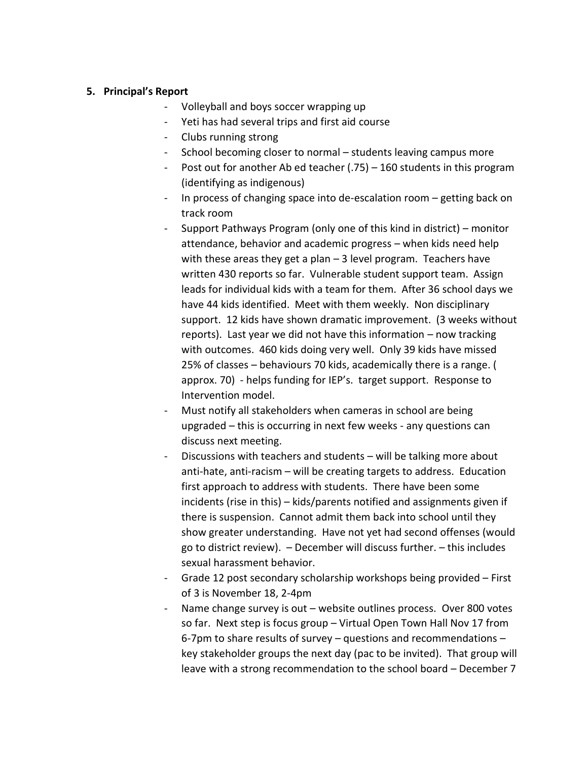### **5. Principal's Report**

- Volleyball and boys soccer wrapping up
- Yeti has had several trips and first aid course
- Clubs running strong
- School becoming closer to normal students leaving campus more
- Post out for another Ab ed teacher (.75) 160 students in this program (identifying as indigenous)
- In process of changing space into de-escalation room getting back on track room
- Support Pathways Program (only one of this kind in district) monitor attendance, behavior and academic progress – when kids need help with these areas they get a plan – 3 level program. Teachers have written 430 reports so far. Vulnerable student support team. Assign leads for individual kids with a team for them. After 36 school days we have 44 kids identified. Meet with them weekly. Non disciplinary support. 12 kids have shown dramatic improvement. (3 weeks without reports). Last year we did not have this information – now tracking with outcomes. 460 kids doing very well. Only 39 kids have missed 25% of classes – behaviours 70 kids, academically there is a range. ( approx. 70) - helps funding for IEP's. target support. Response to Intervention model.
- Must notify all stakeholders when cameras in school are being upgraded – this is occurring in next few weeks - any questions can discuss next meeting.
- Discussions with teachers and students will be talking more about anti-hate, anti-racism – will be creating targets to address. Education first approach to address with students. There have been some incidents (rise in this) – kids/parents notified and assignments given if there is suspension. Cannot admit them back into school until they show greater understanding. Have not yet had second offenses (would go to district review). – December will discuss further. – this includes sexual harassment behavior.
- Grade 12 post secondary scholarship workshops being provided First of 3 is November 18, 2-4pm
- Name change survey is out website outlines process. Over 800 votes so far. Next step is focus group – Virtual Open Town Hall Nov 17 from 6-7pm to share results of survey – questions and recommendations – key stakeholder groups the next day (pac to be invited). That group will leave with a strong recommendation to the school board – December 7